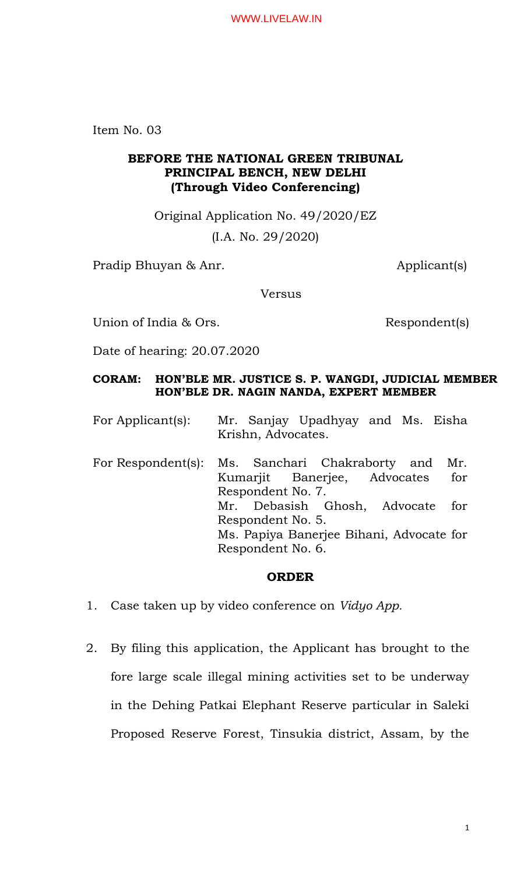Item No. 03

## **BEFORE THE NATIONAL GREEN TRIBUNAL PRINCIPAL BENCH, NEW DELHI (Through Video Conferencing)**

Original Application No. 49/2020/EZ

(I.A. No. 29/2020)

Pradip Bhuyan & Anr. Applicant(s)

Versus

Union of India & Ors. Respondent(s)

Date of hearing: 20.07.2020

## **CORAM: HON'BLE MR. JUSTICE S. P. WANGDI, JUDICIAL MEMBER HON'BLE DR. NAGIN NANDA, EXPERT MEMBER**

For Applicant(s): Mr. Sanjay Upadhyay and Ms. Eisha Krishn, Advocates.

For Respondent(s): Ms. Sanchari Chakraborty and Mr. Kumarjit Banerjee, Advocates for Respondent No. 7. Mr. Debasish Ghosh, Advocate for Respondent No. 5. Ms. Papiya Banerjee Bihani, Advocate for Respondent No. 6.

## **ORDER**

- 1. Case taken up by video conference on *Vidyo App.*
- 2. By filing this application, the Applicant has brought to the fore large scale illegal mining activities set to be underway in the Dehing Patkai Elephant Reserve particular in Saleki Proposed Reserve Forest, Tinsukia district, Assam, by the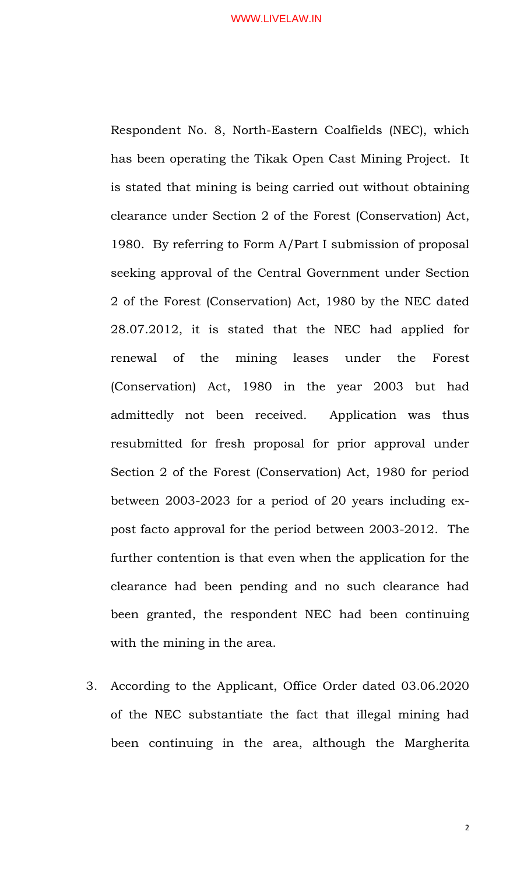Respondent No. 8, North-Eastern Coalfields (NEC), which has been operating the Tikak Open Cast Mining Project. It is stated that mining is being carried out without obtaining clearance under Section 2 of the Forest (Conservation) Act, 1980. By referring to Form A/Part I submission of proposal seeking approval of the Central Government under Section 2 of the Forest (Conservation) Act, 1980 by the NEC dated 28.07.2012, it is stated that the NEC had applied for renewal of the mining leases under the Forest (Conservation) Act, 1980 in the year 2003 but had admittedly not been received. Application was thus resubmitted for fresh proposal for prior approval under Section 2 of the Forest (Conservation) Act, 1980 for period between 2003-2023 for a period of 20 years including expost facto approval for the period between 2003-2012. The further contention is that even when the application for the clearance had been pending and no such clearance had been granted, the respondent NEC had been continuing with the mining in the area.

3. According to the Applicant, Office Order dated 03.06.2020 of the NEC substantiate the fact that illegal mining had been continuing in the area, although the Margherita

2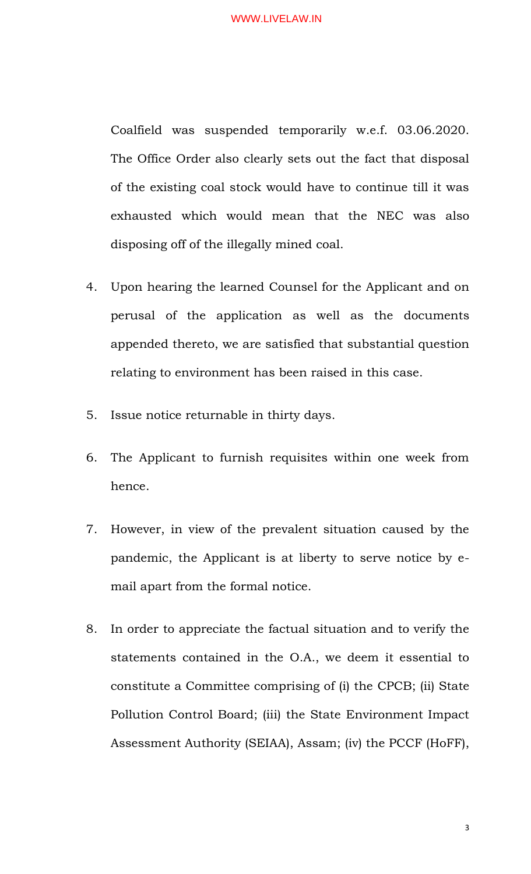Coalfield was suspended temporarily w.e.f. 03.06.2020. The Office Order also clearly sets out the fact that disposal of the existing coal stock would have to continue till it was exhausted which would mean that the NEC was also disposing off of the illegally mined coal.

- 4. Upon hearing the learned Counsel for the Applicant and on perusal of the application as well as the documents appended thereto, we are satisfied that substantial question relating to environment has been raised in this case.
- 5. Issue notice returnable in thirty days.
- 6. The Applicant to furnish requisites within one week from hence.
- 7. However, in view of the prevalent situation caused by the pandemic, the Applicant is at liberty to serve notice by email apart from the formal notice.
- 8. In order to appreciate the factual situation and to verify the statements contained in the O.A., we deem it essential to constitute a Committee comprising of (i) the CPCB; (ii) State Pollution Control Board; (iii) the State Environment Impact Assessment Authority (SEIAA), Assam; (iv) the PCCF (HoFF),